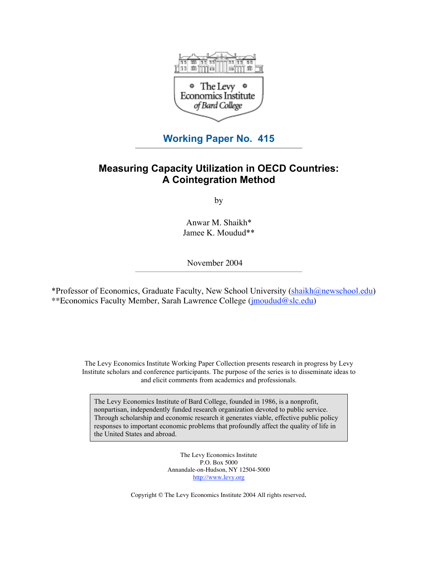

# **Working Paper No. 415**

# **Measuring Capacity Utilization in OECD Countries: A Cointegration Method**

by

Anwar M. Shaikh\* Jamee K. Moudud\*\*

November 2004

\*Professor of Economics, Graduate Faculty, New School University [\(shaikh@newschool.edu\)](mailto:shaikh@newschool.edu) \*\*Economics Faculty Member, Sarah Lawrence College [\(jmoudud@slc.edu\)](mailto:jmoudud@slc.edu)

The Levy Economics Institute Working Paper Collection presents research in progress by Levy Institute scholars and conference participants. The purpose of the series is to disseminate ideas to and elicit comments from academics and professionals.

The Levy Economics Institute of Bard College, founded in 1986, is a nonprofit, nonpartisan, independently funded research organization devoted to public service. Through scholarship and economic research it generates viable, effective public policy responses to important economic problems that profoundly affect the quality of life in the United States and abroad.

> The Levy Economics Institute P.O. Box 5000 Annandale-on-Hudson, NY 12504-5000 <http://www.levy.org>

Copyright © The Levy Economics Institute 2004 All rights reserved.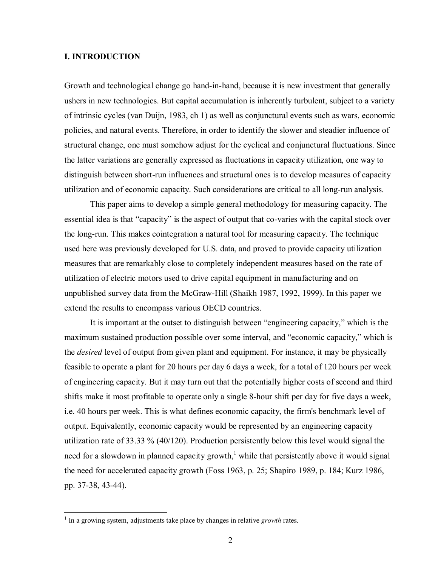### **I. INTRODUCTION**

Growth and technological change go hand-in-hand, because it is new investment that generally ushers in new technologies. But capital accumulation is inherently turbulent, subject to a variety of intrinsic cycles (van Duijn, 1983, ch 1) as well as conjunctural events such as wars, economic policies, and natural events. Therefore, in order to identify the slower and steadier influence of structural change, one must somehow adjust for the cyclical and conjunctural fluctuations. Since the latter variations are generally expressed as fluctuations in capacity utilization, one way to distinguish between short-run influences and structural ones is to develop measures of capacity utilization and of economic capacity. Such considerations are critical to all long-run analysis.

This paper aims to develop a simple general methodology for measuring capacity. The essential idea is that "capacity" is the aspect of output that co-varies with the capital stock over the long-run. This makes cointegration a natural tool for measuring capacity. The technique used here was previously developed for U.S. data, and proved to provide capacity utilization measures that are remarkably close to completely independent measures based on the rate of utilization of electric motors used to drive capital equipment in manufacturing and on unpublished survey data from the McGraw-Hill (Shaikh 1987, 1992, 1999). In this paper we extend the results to encompass various OECD countries.

It is important at the outset to distinguish between "engineering capacity," which is the maximum sustained production possible over some interval, and "economic capacity," which is the *desired* level of output from given plant and equipment. For instance, it may be physically feasible to operate a plant for 20 hours per day 6 days a week, for a total of 120 hours per week of engineering capacity. But it may turn out that the potentially higher costs of second and third shifts make it most profitable to operate only a single 8-hour shift per day for five days a week, i.e. 40 hours per week. This is what defines economic capacity, the firm's benchmark level of output. Equivalently, economic capacity would be represented by an engineering capacity utilization rate of 33.33 % (40/120). Production persistently below this level would signal the need for a slowdown in planned capacity growth,<sup>1</sup> while that persistently above it would signal the need for accelerated capacity growth (Foss 1963, p. 25; Shapiro 1989, p. 184; Kurz 1986, pp. 37-38, 43-44).

 $\overline{a}$ 

<sup>&</sup>lt;sup>1</sup> In a growing system, adjustments take place by changes in relative *growth* rates.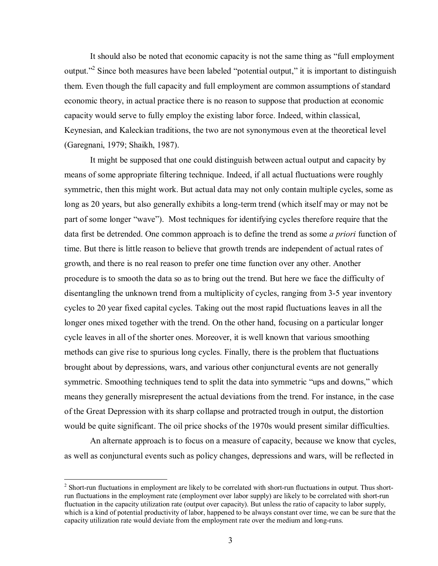It should also be noted that economic capacity is not the same thing as "full employment output."<sup>2</sup> Since both measures have been labeled "potential output," it is important to distinguish them. Even though the full capacity and full employment are common assumptions of standard economic theory, in actual practice there is no reason to suppose that production at economic capacity would serve to fully employ the existing labor force. Indeed, within classical, Keynesian, and Kaleckian traditions, the two are not synonymous even at the theoretical level (Garegnani, 1979; Shaikh, 1987).

It might be supposed that one could distinguish between actual output and capacity by means of some appropriate filtering technique. Indeed, if all actual fluctuations were roughly symmetric, then this might work. But actual data may not only contain multiple cycles, some as long as 20 years, but also generally exhibits a long-term trend (which itself may or may not be part of some longer "wave"). Most techniques for identifying cycles therefore require that the data first be detrended. One common approach is to define the trend as some *a priori* function of time. But there is little reason to believe that growth trends are independent of actual rates of growth, and there is no real reason to prefer one time function over any other. Another procedure is to smooth the data so as to bring out the trend. But here we face the difficulty of disentangling the unknown trend from a multiplicity of cycles, ranging from 3-5 year inventory cycles to 20 year fixed capital cycles. Taking out the most rapid fluctuations leaves in all the longer ones mixed together with the trend. On the other hand, focusing on a particular longer cycle leaves in all of the shorter ones. Moreover, it is well known that various smoothing methods can give rise to spurious long cycles. Finally, there is the problem that fluctuations brought about by depressions, wars, and various other conjunctural events are not generally symmetric. Smoothing techniques tend to split the data into symmetric "ups and downs," which means they generally misrepresent the actual deviations from the trend. For instance, in the case of the Great Depression with its sharp collapse and protracted trough in output, the distortion would be quite significant. The oil price shocks of the 1970s would present similar difficulties.

An alternate approach is to focus on a measure of capacity, because we know that cycles, as well as conjunctural events such as policy changes, depressions and wars, will be reflected in

<sup>&</sup>lt;sup>2</sup> Short-run fluctuations in employment are likely to be correlated with short-run fluctuations in output. Thus shortrun fluctuations in the employment rate (employment over labor supply) are likely to be correlated with short-run fluctuation in the capacity utilization rate (output over capacity). But unless the ratio of capacity to labor supply, which is a kind of potential productivity of labor, happened to be always constant over time, we can be sure that the capacity utilization rate would deviate from the employment rate over the medium and long-runs.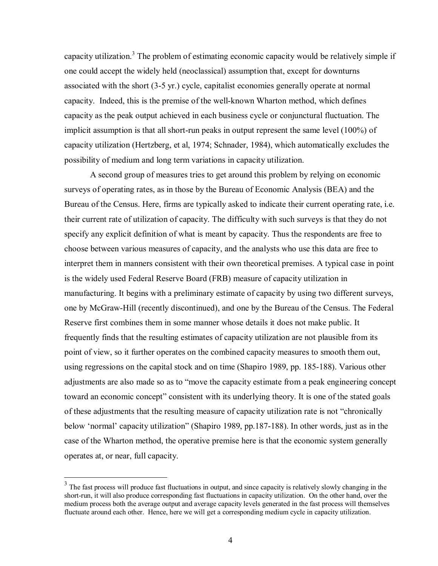capacity utilization.<sup>3</sup> The problem of estimating economic capacity would be relatively simple if one could accept the widely held (neoclassical) assumption that, except for downturns associated with the short (3-5 yr.) cycle, capitalist economies generally operate at normal capacity. Indeed, this is the premise of the well-known Wharton method, which defines capacity as the peak output achieved in each business cycle or conjunctural fluctuation. The implicit assumption is that all short-run peaks in output represent the same level (100%) of capacity utilization (Hertzberg, et al, 1974; Schnader, 1984), which automatically excludes the possibility of medium and long term variations in capacity utilization.

A second group of measures tries to get around this problem by relying on economic surveys of operating rates, as in those by the Bureau of Economic Analysis (BEA) and the Bureau of the Census. Here, firms are typically asked to indicate their current operating rate, i.e. their current rate of utilization of capacity. The difficulty with such surveys is that they do not specify any explicit definition of what is meant by capacity. Thus the respondents are free to choose between various measures of capacity, and the analysts who use this data are free to interpret them in manners consistent with their own theoretical premises. A typical case in point is the widely used Federal Reserve Board (FRB) measure of capacity utilization in manufacturing. It begins with a preliminary estimate of capacity by using two different surveys, one by McGraw-Hill (recently discontinued), and one by the Bureau of the Census. The Federal Reserve first combines them in some manner whose details it does not make public. It frequently finds that the resulting estimates of capacity utilization are not plausible from its point of view, so it further operates on the combined capacity measures to smooth them out, using regressions on the capital stock and on time (Shapiro 1989, pp. 185-188). Various other adjustments are also made so as to "move the capacity estimate from a peak engineering concept toward an economic concept" consistent with its underlying theory. It is one of the stated goals of these adjustments that the resulting measure of capacity utilization rate is not "chronically below 'normal' capacity utilization" (Shapiro 1989, pp.187-188). In other words, just as in the case of the Wharton method, the operative premise here is that the economic system generally operates at, or near, full capacity.

 $\overline{a}$ 

 $3$  The fast process will produce fast fluctuations in output, and since capacity is relatively slowly changing in the short-run, it will also produce corresponding fast fluctuations in capacity utilization. On the other hand, over the medium process both the average output and average capacity levels generated in the fast process will themselves fluctuate around each other. Hence, here we will get a corresponding medium cycle in capacity utilization.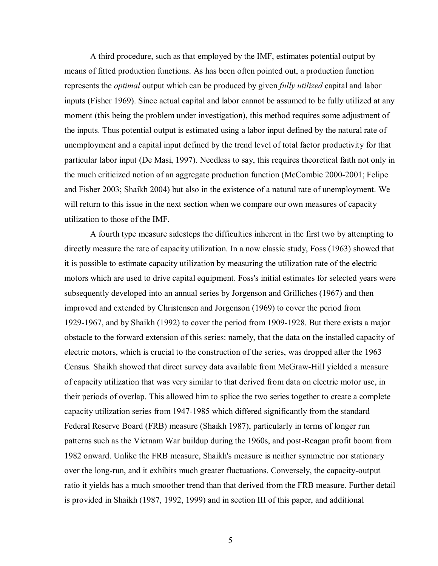A third procedure, such as that employed by the IMF, estimates potential output by means of fitted production functions. As has been often pointed out, a production function represents the *optimal* output which can be produced by given *fully utilized* capital and labor inputs (Fisher 1969). Since actual capital and labor cannot be assumed to be fully utilized at any moment (this being the problem under investigation), this method requires some adjustment of the inputs. Thus potential output is estimated using a labor input defined by the natural rate of unemployment and a capital input defined by the trend level of total factor productivity for that particular labor input (De Masi, 1997). Needless to say, this requires theoretical faith not only in the much criticized notion of an aggregate production function (McCombie 2000-2001; Felipe and Fisher 2003; Shaikh 2004) but also in the existence of a natural rate of unemployment. We will return to this issue in the next section when we compare our own measures of capacity utilization to those of the IMF.

A fourth type measure sidesteps the difficulties inherent in the first two by attempting to directly measure the rate of capacity utilization. In a now classic study, Foss (1963) showed that it is possible to estimate capacity utilization by measuring the utilization rate of the electric motors which are used to drive capital equipment. Foss's initial estimates for selected years were subsequently developed into an annual series by Jorgenson and Grilliches (1967) and then improved and extended by Christensen and Jorgenson (1969) to cover the period from 1929-1967, and by Shaikh (1992) to cover the period from 1909-1928. But there exists a major obstacle to the forward extension of this series: namely, that the data on the installed capacity of electric motors, which is crucial to the construction of the series, was dropped after the 1963 Census. Shaikh showed that direct survey data available from McGraw-Hill yielded a measure of capacity utilization that was very similar to that derived from data on electric motor use, in their periods of overlap. This allowed him to splice the two series together to create a complete capacity utilization series from 1947-1985 which differed significantly from the standard Federal Reserve Board (FRB) measure (Shaikh 1987), particularly in terms of longer run patterns such as the Vietnam War buildup during the 1960s, and post-Reagan profit boom from 1982 onward. Unlike the FRB measure, Shaikh's measure is neither symmetric nor stationary over the long-run, and it exhibits much greater fluctuations. Conversely, the capacity-output ratio it yields has a much smoother trend than that derived from the FRB measure. Further detail is provided in Shaikh (1987, 1992, 1999) and in section III of this paper, and additional

5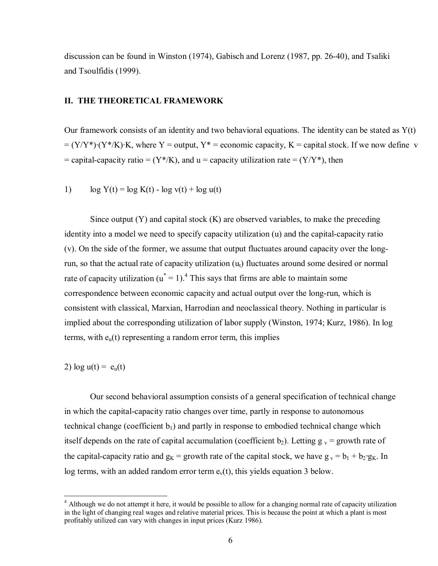discussion can be found in Winston (1974), Gabisch and Lorenz (1987, pp. 26-40), and Tsaliki and Tsoulfidis (1999).

#### **II. THE THEORETICAL FRAMEWORK**

Our framework consists of an identity and two behavioral equations. The identity can be stated as  $Y(t)$  $= (Y/Y^*) \cdot (Y^*/K) \cdot K$ , where Y = output, Y<sup>\*</sup> = economic capacity, K = capital stock. If we now define v  $=$  capital-capacity ratio  $= (Y^*/K)$ , and  $u =$  capacity utilization rate  $= (Y/Y^*)$ , then

1)  $\log Y(t) = \log K(t) - \log v(t) + \log u(t)$ 

Since output  $(Y)$  and capital stock  $(K)$  are observed variables, to make the preceding identity into a model we need to specify capacity utilization (u) and the capital-capacity ratio (v). On the side of the former, we assume that output fluctuates around capacity over the longrun, so that the actual rate of capacity utilization  $(u_t)$  fluctuates around some desired or normal rate of capacity utilization ( $u^* = 1$ ).<sup>4</sup> This says that firms are able to maintain some correspondence between economic capacity and actual output over the long-run, which is consistent with classical, Marxian, Harrodian and neoclassical theory. Nothing in particular is implied about the corresponding utilization of labor supply (Winston, 1974; Kurz, 1986). In log terms, with  $e_u(t)$  representing a random error term, this implies

2)  $log u(t) = e<sub>u</sub>(t)$ 

 $\overline{a}$ 

Our second behavioral assumption consists of a general specification of technical change in which the capital-capacity ratio changes over time, partly in response to autonomous technical change (coefficient  $b_1$ ) and partly in response to embodied technical change which itself depends on the rate of capital accumulation (coefficient b<sub>2</sub>). Letting  $g_y =$  growth rate of the capital-capacity ratio and  $g_k$  = growth rate of the capital stock, we have  $g_y = b_1 + b_2 \cdot g_k$ . In log terms, with an added random error term  $e<sub>v</sub>(t)$ , this yields equation 3 below.

<sup>&</sup>lt;sup>4</sup> Although we do not attempt it here, it would be possible to allow for a changing normal rate of capacity utilization in the light of changing real wages and relative material prices. This is because the point at which a plant is most profitably utilized can vary with changes in input prices (Kurz 1986).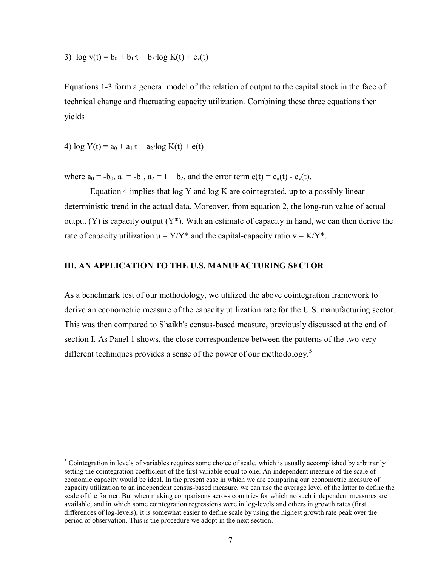3)  $\log v(t) = b_0 + b_1 \cdot t + b_2 \cdot \log K(t) + e_v(t)$ 

Equations 1-3 form a general model of the relation of output to the capital stock in the face of technical change and fluctuating capacity utilization. Combining these three equations then yields

4)  $\log Y(t) = a_0 + a_1 \cdot t + a_2 \cdot \log K(t) + e(t)$ 

 $\overline{a}$ 

where  $a_0 = -b_0$ ,  $a_1 = -b_1$ ,  $a_2 = 1 - b_2$ , and the error term  $e(t) = e_u(t) - e_v(t)$ .

Equation 4 implies that log Y and log K are cointegrated, up to a possibly linear deterministic trend in the actual data. Moreover, from equation 2, the long-run value of actual output  $(Y)$  is capacity output  $(Y^*)$ . With an estimate of capacity in hand, we can then derive the rate of capacity utilization  $u = Y/Y^*$  and the capital-capacity ratio  $v = K/Y^*$ .

# **III. AN APPLICATION TO THE U.S. MANUFACTURING SECTOR**

As a benchmark test of our methodology, we utilized the above cointegration framework to derive an econometric measure of the capacity utilization rate for the U.S. manufacturing sector. This was then compared to Shaikh's census-based measure, previously discussed at the end of section I. As Panel 1 shows, the close correspondence between the patterns of the two very different techniques provides a sense of the power of our methodology.<sup>5</sup>

 $<sup>5</sup>$  Cointegration in levels of variables requires some choice of scale, which is usually accomplished by arbitrarily</sup> setting the cointegration coefficient of the first variable equal to one. An independent measure of the scale of economic capacity would be ideal. In the present case in which we are comparing our econometric measure of capacity utilization to an independent census-based measure, we can use the average level of the latter to define the scale of the former. But when making comparisons across countries for which no such independent measures are available, and in which some cointegration regressions were in log-levels and others in growth rates (first differences of log-levels), it is somewhat easier to define scale by using the highest growth rate peak over the period of observation. This is the procedure we adopt in the next section.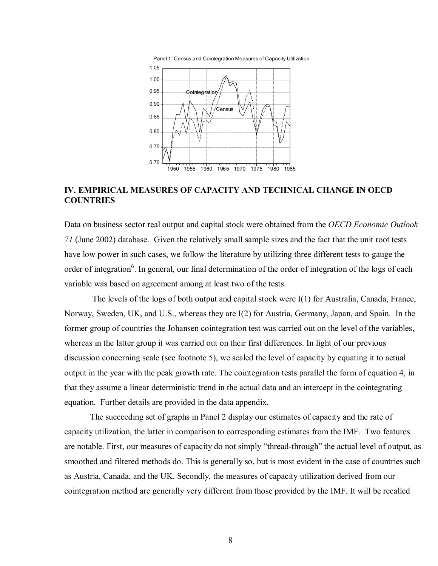

# **IV. EMPIRICAL MEASURES OF CAPACITY AND TECHNICAL CHANGE IN OECD COUNTRIES**

Data on business sector real output and capital stock were obtained from the *OECD Economic Outlook 71* (June 2002) database. Given the relatively small sample sizes and the fact that the unit root tests have low power in such cases, we follow the literature by utilizing three different tests to gauge the order of integration<sup>6</sup>. In general, our final determination of the order of integration of the logs of each variable was based on agreement among at least two of the tests.

The levels of the logs of both output and capital stock were  $I(1)$  for Australia, Canada, France, Norway, Sweden, UK, and U.S., whereas they are I(2) for Austria, Germany, Japan, and Spain. In the former group of countries the Johansen cointegration test was carried out on the level of the variables, whereas in the latter group it was carried out on their first differences. In light of our previous discussion concerning scale (see footnote 5), we scaled the level of capacity by equating it to actual output in the year with the peak growth rate. The cointegration tests parallel the form of equation 4, in that they assume a linear deterministic trend in the actual data and an intercept in the cointegrating equation. Further details are provided in the data appendix.

The succeeding set of graphs in Panel 2 display our estimates of capacity and the rate of capacity utilization, the latter in comparison to corresponding estimates from the IMF. Two features are notable. First, our measures of capacity do not simply "thread-through" the actual level of output, as smoothed and filtered methods do. This is generally so, but is most evident in the case of countries such as Austria, Canada, and the UK. Secondly, the measures of capacity utilization derived from our cointegration method are generally very different from those provided by the IMF. It will be recalled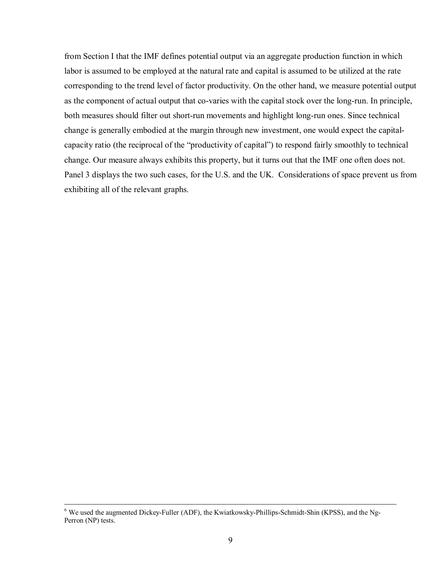from Section I that the IMF defines potential output via an aggregate production function in which labor is assumed to be employed at the natural rate and capital is assumed to be utilized at the rate corresponding to the trend level of factor productivity. On the other hand, we measure potential output as the component of actual output that co-varies with the capital stock over the long-run. In principle, both measures should filter out short-run movements and highlight long-run ones. Since technical change is generally embodied at the margin through new investment, one would expect the capitalcapacity ratio (the reciprocal of the "productivity of capital") to respond fairly smoothly to technical change. Our measure always exhibits this property, but it turns out that the IMF one often does not. Panel 3 displays the two such cases, for the U.S. and the UK. Considerations of space prevent us from exhibiting all of the relevant graphs.

 <sup>6</sup> We used the augmented Dickey-Fuller (ADF), the Kwiatkowsky-Phillips-Schmidt-Shin (KPSS), and the Ng-Perron (NP) tests.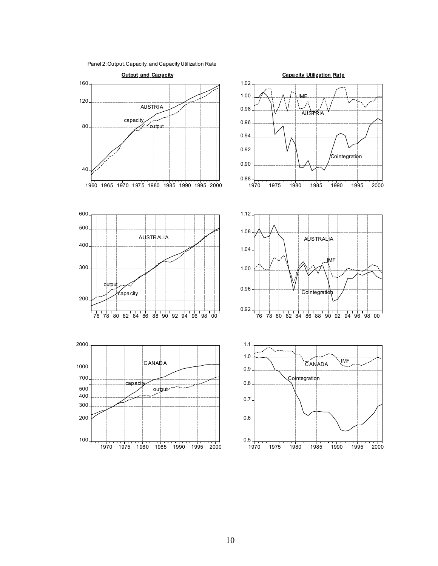

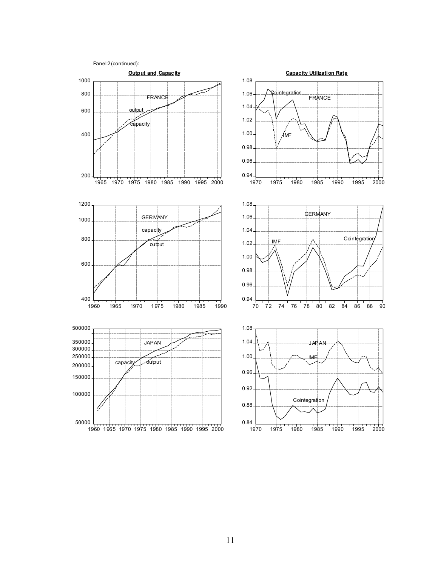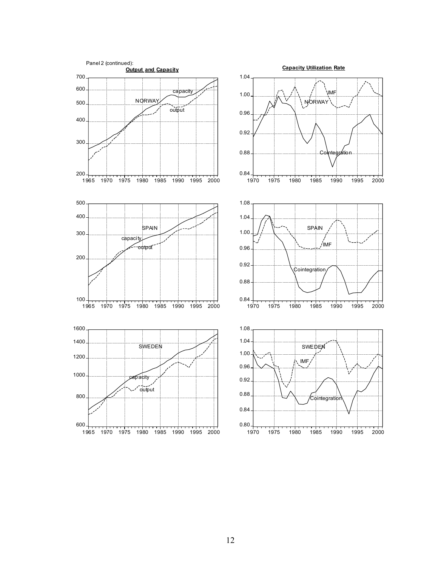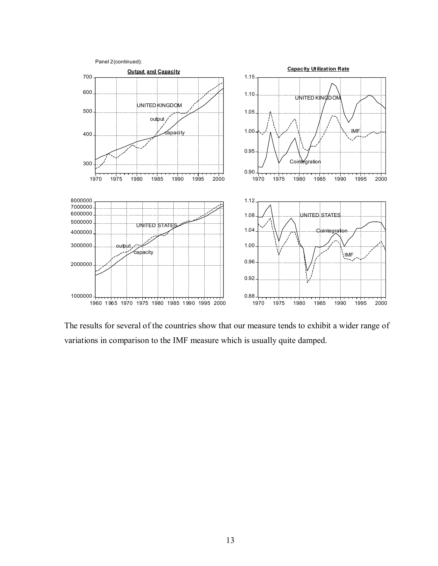

The results for several of the countries show that our measure tends to exhibit a wider range of variations in comparison to the IMF measure which is usually quite damped.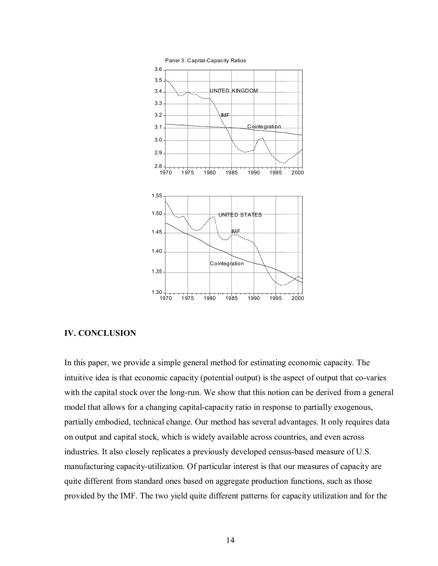

#### **IV. CONCLUSION**

In this paper, we provide a simple general method for estimating economic capacity. The intuitive idea is that economic capacity (potential output) is the aspect of output that co-varies with the capital stock over the long-run. We show that this notion can be derived from a general model that allows for a changing capital-capacity ratio in response to partially exogenous, partially embodied, technical change. Our method has several advantages. It only requires data on output and capital stock, which is widely available across countries, and even across industries. It also closely replicates a previously developed census-based measure of U.S. manufacturing capacity-utilization. Of particular interest is that our measures of capacity are quite different from standard ones based on aggregate production functions, such as those provided by the IMF. The two yield quite different patterns for capacity utilization and for the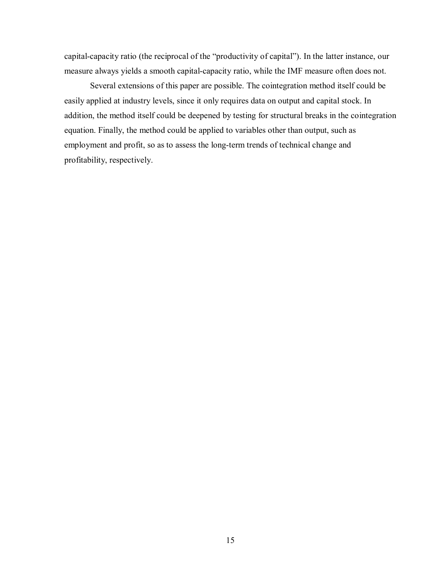capital-capacity ratio (the reciprocal of the "productivity of capital"). In the latter instance, our measure always yields a smooth capital-capacity ratio, while the IMF measure often does not.

Several extensions of this paper are possible. The cointegration method itself could be easily applied at industry levels, since it only requires data on output and capital stock. In addition, the method itself could be deepened by testing for structural breaks in the cointegration equation. Finally, the method could be applied to variables other than output, such as employment and profit, so as to assess the long-term trends of technical change and profitability, respectively.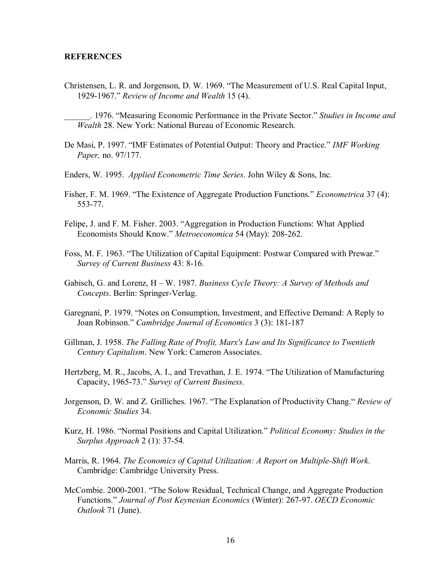#### **REFERENCES**

Christensen, L. R. and Jorgenson, D. W. 1969. "The Measurement of U.S. Real Capital Input, 1929-1967." *Review of Income and Wealth* 15 (4).

\_\_\_\_\_\_. 1976. "Measuring Economic Performance in the Private Sector." *Studies in Income and Wealth* 28. New York: National Bureau of Economic Research.

- De Masi, P. 1997. "IMF Estimates of Potential Output: Theory and Practice." *IMF Working Paper,* no. 97/177.
- Enders, W. 1995. *Applied Econometric Time Series*. John Wiley & Sons, Inc.
- Fisher, F. M. 1969. "The Existence of Aggregate Production Functions." *Econometrica* 37 (4): 553-77.
- Felipe, J. and F. M. Fisher. 2003. "Aggregation in Production Functions: What Applied Economists Should Know." *Metroeconomica* 54 (May): 208-262.
- Foss, M. F. 1963. "The Utilization of Capital Equipment: Postwar Compared with Prewar." *Survey of Current Business* 43: 8-16.
- Gabisch, G. and Lorenz, H W. 1987. *Business Cycle Theory: A Survey of Methods and Concepts*. Berlin: Springer-Verlag.
- Garegnani, P. 1979. "Notes on Consumption, Investment, and Effective Demand: A Reply to Joan Robinson." *Cambridge Journal of Economics* 3 (3): 181-187
- Gillman, J. 1958. *The Falling Rate of Profit, Marx's Law and Its Significance to Twentieth Century Capitalism*. New York: Cameron Associates.
- Hertzberg, M. R., Jacobs, A. I., and Trevathan, J. E. 1974. "The Utilization of Manufacturing Capacity, 1965-73." *Survey of Current Business*.
- Jorgenson, D. W. and Z. Grilliches. 1967. "The Explanation of Productivity Chang." *Review of Economic Studies* 34.
- Kurz, H. 1986. "Normal Positions and Capital Utilization." *Political Economy: Studies in the Surplus Approach* 2 (1): 37-54.
- Marris, R. 1964. *The Economics of Capital Utilization: A Report on Multiple-Shift Work*. Cambridge: Cambridge University Press.
- McCombie. 2000-2001. "The Solow Residual, Technical Change, and Aggregate Production Functions." *Journal of Post Keynesian Economics* (Winter): 267-97. *OECD Economic Outlook* 71 (June).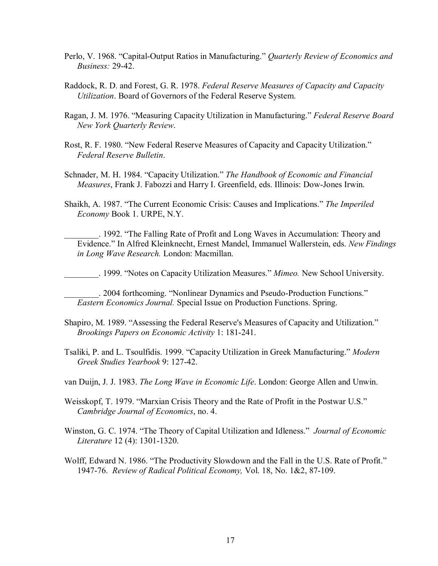- Perlo, V. 1968. "Capital-Output Ratios in Manufacturing." *Quarterly Review of Economics and Business:* 29-42.
- Raddock, R. D. and Forest, G. R. 1978. *Federal Reserve Measures of Capacity and Capacity Utilization*. Board of Governors of the Federal Reserve System.
- Ragan, J. M. 1976. "Measuring Capacity Utilization in Manufacturing." *Federal Reserve Board New York Quarterly Review*.
- Rost, R. F. 1980. "New Federal Reserve Measures of Capacity and Capacity Utilization." *Federal Reserve Bulletin*.
- Schnader, M. H. 1984. "Capacity Utilization." *The Handbook of Economic and Financial Measures*, Frank J. Fabozzi and Harry I. Greenfield, eds. Illinois: Dow-Jones Irwin.
- Shaikh, A. 1987. "The Current Economic Crisis: Causes and Implications." *The Imperiled Economy* Book 1. URPE, N.Y.
- \_\_\_\_\_\_\_\_. 1992. "The Falling Rate of Profit and Long Waves in Accumulation: Theory and Evidence." In Alfred Kleinknecht, Ernest Mandel, Immanuel Wallerstein, eds. *New Findings in Long Wave Research.* London: Macmillan.
- \_\_\_\_\_\_\_\_. 1999. "Notes on Capacity Utilization Measures." *Mimeo.* New School University.

\_\_\_\_\_\_\_\_. 2004 forthcoming. "Nonlinear Dynamics and Pseudo-Production Functions." *Eastern Economics Journal.* Special Issue on Production Functions. Spring.

- Shapiro, M. 1989. "Assessing the Federal Reserve's Measures of Capacity and Utilization." *Brookings Papers on Economic Activity* 1: 181-241.
- Tsaliki, P. and L. Tsoulfidis. 1999. "Capacity Utilization in Greek Manufacturing." *Modern Greek Studies Yearbook* 9: 127-42.
- van Duijn, J. J. 1983. *The Long Wave in Economic Life*. London: George Allen and Unwin.
- Weisskopf, T. 1979. "Marxian Crisis Theory and the Rate of Profit in the Postwar U.S." *Cambridge Journal of Economics*, no. 4.
- Winston, G. C. 1974. "The Theory of Capital Utilization and Idleness." *Journal of Economic Literature* 12 (4): 1301-1320.
- Wolff, Edward N. 1986. "The Productivity Slowdown and the Fall in the U.S. Rate of Profit." 1947-76. *Review of Radical Political Economy,* Vol. 18, No. 1&2, 87-109.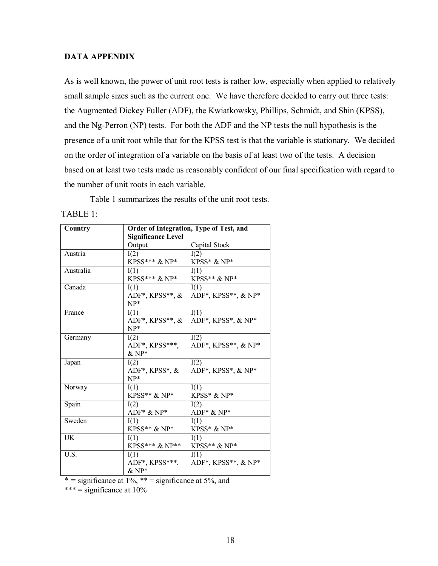### **DATA APPENDIX**

As is well known, the power of unit root tests is rather low, especially when applied to relatively small sample sizes such as the current one. We have therefore decided to carry out three tests: the Augmented Dickey Fuller (ADF), the Kwiatkowsky, Phillips, Schmidt, and Shin (KPSS), and the Ng-Perron (NP) tests. For both the ADF and the NP tests the null hypothesis is the presence of a unit root while that for the KPSS test is that the variable is stationary. We decided on the order of integration of a variable on the basis of at least two of the tests. A decision based on at least two tests made us reasonably confident of our final specification with regard to the number of unit roots in each variable.

Table 1 summarizes the results of the unit root tests.

TABLE 1:

| Country   | Order of Integration, Type of Test, and |                      |  |
|-----------|-----------------------------------------|----------------------|--|
|           | <b>Significance Level</b>               |                      |  |
|           | Output                                  | Capital Stock        |  |
| Austria   | I(2)                                    | I(2)                 |  |
|           | KPSS*** $\&$ NP*                        | KPSS* $\&$ NP*       |  |
| Australia | I(1)                                    | I(1)                 |  |
|           | KPSS*** & NP*                           | $KPSS**\&NP*$        |  |
| Canada    | I(1)                                    | I(1)                 |  |
|           | ADF*, KPSS**, $\&$                      | ADF*, KPSS**, & NP*  |  |
|           | $NP*$                                   |                      |  |
| France    | I(1)                                    | I(1)                 |  |
|           | ADF*, KPSS**, &                         | ADF*, KPSS*, $&$ NP* |  |
|           | $NP*$                                   |                      |  |
| Germany   | I(2)                                    | I(2)                 |  |
|           | ADF*, KPSS***,                          | ADF*, KPSS**, & NP*  |  |
|           | $\&$ NP*                                |                      |  |
| Japan     | I(2)                                    | I(2)                 |  |
|           | ADF*, KPSS*, &                          | ADF*, KPSS*, & NP*   |  |
|           | $NP*$                                   |                      |  |
| Norway    | I(1)                                    | I(1)                 |  |
|           | KPSS** & NP*                            | KPSS* & NP*          |  |
| Spain     | I(2)                                    | I(2)                 |  |
|           | $ADF^* & NP^*$                          | ADF* & NP*           |  |
| Sweden    | I(1)                                    | I(1)                 |  |
|           | $KPSS**\&NP*$                           | $KPSS^* \& NP^*$     |  |
| UK        | I(1)                                    | I(1)                 |  |
|           | KPSS*** & NP**                          | KPSS** & NP*         |  |
| U.S.      | I(1)                                    | I(1)                 |  |
|           | ADF*, KPSS***,                          | ADF*, KPSS**, & NP*  |  |
|           | $\&$ NP*                                |                      |  |

\* = significance at 1%, \*\* = significance at 5%, and

\*\*\* = significance at 10%